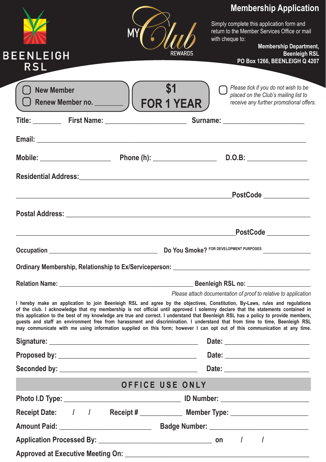| <b>BEENLEIGH</b> | М |                 | <b>Membership Application</b><br>Simply complete this application form and<br>return to the Member Services Office or mail<br>with cheque to:<br><b>Membership Department,</b><br><b>Beenleigh RSL</b>                                                                                                                                                                                                                                                                                                                                                                                                                                                             |
|------------------|---|-----------------|--------------------------------------------------------------------------------------------------------------------------------------------------------------------------------------------------------------------------------------------------------------------------------------------------------------------------------------------------------------------------------------------------------------------------------------------------------------------------------------------------------------------------------------------------------------------------------------------------------------------------------------------------------------------|
| <b>RSL</b>       |   |                 | PO Box 1266, BEENLEIGH Q 4207                                                                                                                                                                                                                                                                                                                                                                                                                                                                                                                                                                                                                                      |
|                  |   |                 | Please tick if you do not wish to be<br>placed on the Club's mailing list to<br>receive any further promotional offers.                                                                                                                                                                                                                                                                                                                                                                                                                                                                                                                                            |
|                  |   |                 |                                                                                                                                                                                                                                                                                                                                                                                                                                                                                                                                                                                                                                                                    |
|                  |   |                 |                                                                                                                                                                                                                                                                                                                                                                                                                                                                                                                                                                                                                                                                    |
|                  |   |                 |                                                                                                                                                                                                                                                                                                                                                                                                                                                                                                                                                                                                                                                                    |
|                  |   |                 |                                                                                                                                                                                                                                                                                                                                                                                                                                                                                                                                                                                                                                                                    |
|                  |   |                 | Residential Address: New York State Address and Address and Address and Address and Address and Address and Address and Address and Address and Address and Address and Address and Address and Address and Address and Addres                                                                                                                                                                                                                                                                                                                                                                                                                                     |
|                  |   |                 |                                                                                                                                                                                                                                                                                                                                                                                                                                                                                                                                                                                                                                                                    |
|                  |   |                 | Postal Address: Universe of the Contract of the Contract of the Contract of the Contract of the Contract of the Contract of the Contract of the Contract of the Contract of the Contract of the Contract of the Contract of th                                                                                                                                                                                                                                                                                                                                                                                                                                     |
|                  |   |                 |                                                                                                                                                                                                                                                                                                                                                                                                                                                                                                                                                                                                                                                                    |
|                  |   |                 |                                                                                                                                                                                                                                                                                                                                                                                                                                                                                                                                                                                                                                                                    |
|                  |   |                 |                                                                                                                                                                                                                                                                                                                                                                                                                                                                                                                                                                                                                                                                    |
|                  |   |                 | Please attach documentation of proof to relative to application                                                                                                                                                                                                                                                                                                                                                                                                                                                                                                                                                                                                    |
|                  |   |                 | I hereby make an application to join Beenleigh RSL and agree by the objectives, Constitution, By-Laws, rules and regulations<br>of the club. I acknowledge that my membership is not official until approved I solemny declare that the statements contained in<br>this application to the best of my knowledge are true and correct. I understand that Beenleigh RSL has a policy to provide members,<br>quests and staff an environment free from harassment and discrimination. I understand that from time to time, Beenleigh RSL<br>may communicate with me using information supplied on this form; however I can opt out of this communication at any time. |
|                  |   |                 |                                                                                                                                                                                                                                                                                                                                                                                                                                                                                                                                                                                                                                                                    |
|                  |   |                 |                                                                                                                                                                                                                                                                                                                                                                                                                                                                                                                                                                                                                                                                    |
|                  |   |                 |                                                                                                                                                                                                                                                                                                                                                                                                                                                                                                                                                                                                                                                                    |
|                  |   | OFFICE USE ONLY |                                                                                                                                                                                                                                                                                                                                                                                                                                                                                                                                                                                                                                                                    |
|                  |   |                 |                                                                                                                                                                                                                                                                                                                                                                                                                                                                                                                                                                                                                                                                    |
|                  |   |                 | Receipt Date: / / Receipt # __________ Member Type: _____________________                                                                                                                                                                                                                                                                                                                                                                                                                                                                                                                                                                                          |
|                  |   |                 |                                                                                                                                                                                                                                                                                                                                                                                                                                                                                                                                                                                                                                                                    |
|                  |   |                 |                                                                                                                                                                                                                                                                                                                                                                                                                                                                                                                                                                                                                                                                    |
|                  |   |                 |                                                                                                                                                                                                                                                                                                                                                                                                                                                                                                                                                                                                                                                                    |